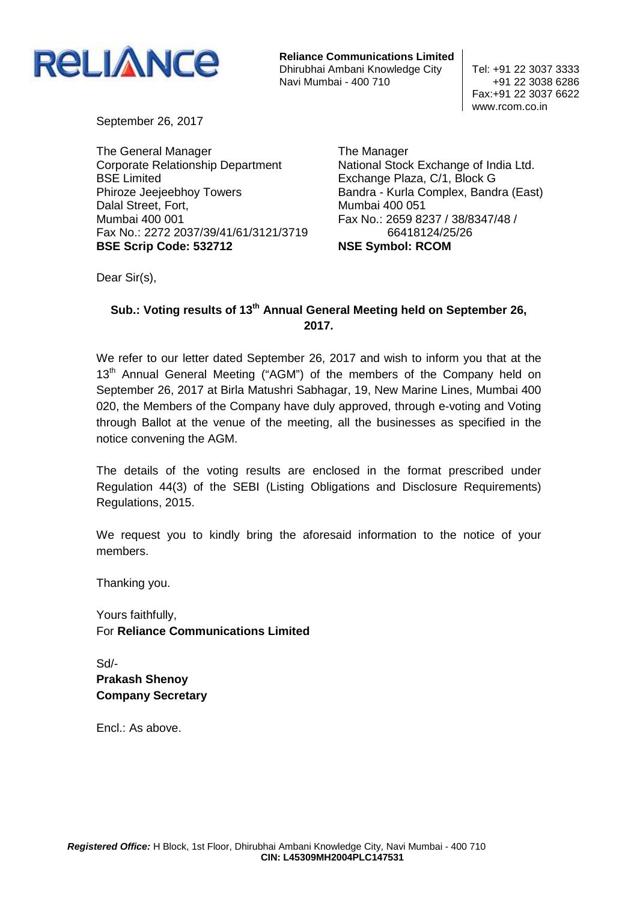

**Reliance Communications Limited** Dhirubhai Ambani Knowledge City | Tel: +91 22 3037 3333 Navi Mumbai - 400 710  $+91$  22 3038 6286

Fax:+91 22 3037 6622 www.rcom.co.in

September 26, 2017

The General Manager Corporate Relationship Department BSE Limited Phiroze Jeejeebhoy Towers Dalal Street, Fort, Mumbai 400 001 Fax No.: 2272 2037/39/41/61/3121/3719 **BSE Scrip Code: 532712** 

The Manager National Stock Exchange of India Ltd. Exchange Plaza, C/1, Block G Bandra - Kurla Complex, Bandra (East) Mumbai 400 051 Fax No.: 2659 8237 / 38/8347/48 / 66418124/25/26 **NSE Symbol: RCOM** 

Dear Sir(s),

## **Sub.: Voting results of 13th Annual General Meeting held on September 26, 2017.**

We refer to our letter dated September 26, 2017 and wish to inform you that at the 13<sup>th</sup> Annual General Meeting ("AGM") of the members of the Company held on September 26, 2017 at Birla Matushri Sabhagar, 19, New Marine Lines, Mumbai 400 020, the Members of the Company have duly approved, through e-voting and Voting through Ballot at the venue of the meeting, all the businesses as specified in the notice convening the AGM.

The details of the voting results are enclosed in the format prescribed under Regulation 44(3) of the SEBI (Listing Obligations and Disclosure Requirements) Regulations, 2015.

We request you to kindly bring the aforesaid information to the notice of your members.

Thanking you.

Yours faithfully, For **Reliance Communications Limited** 

Sd/- **Prakash Shenoy Company Secretary** 

Encl.: As above.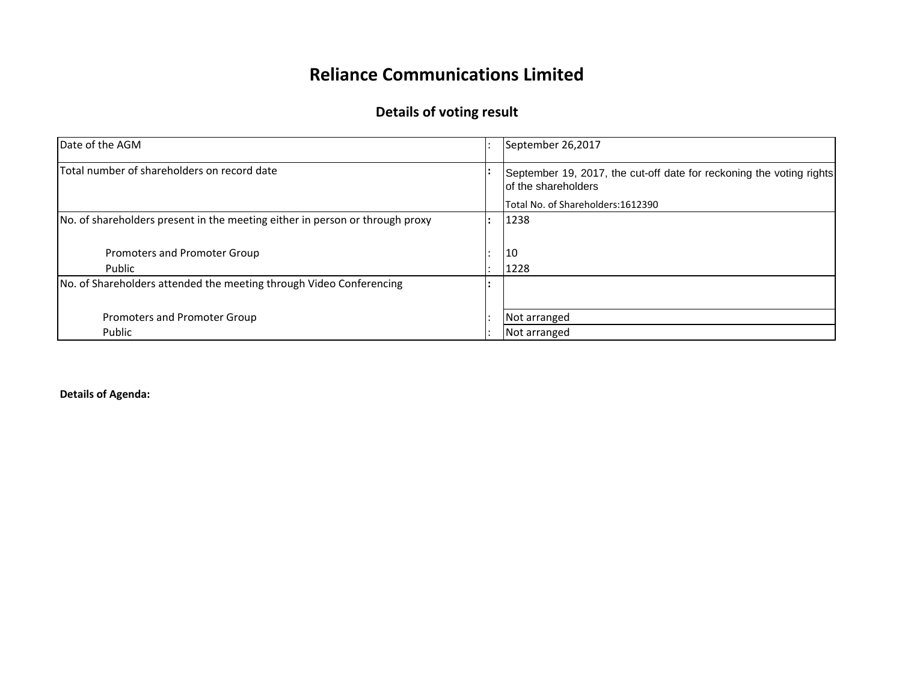## **Reliance Communications Limited**

## **Details of voting result**

| Date of the AGM                                                              | September 26,2017                                                                           |
|------------------------------------------------------------------------------|---------------------------------------------------------------------------------------------|
| Total number of shareholders on record date                                  | September 19, 2017, the cut-off date for reckoning the voting rights<br>of the shareholders |
|                                                                              | Total No. of Shareholders:1612390                                                           |
| No. of shareholders present in the meeting either in person or through proxy | 1238                                                                                        |
|                                                                              |                                                                                             |
| Promoters and Promoter Group                                                 | 10                                                                                          |
| Public                                                                       | 1228                                                                                        |
| No. of Shareholders attended the meeting through Video Conferencing          |                                                                                             |
|                                                                              |                                                                                             |
| Promoters and Promoter Group                                                 | Not arranged                                                                                |
| Public                                                                       | Not arranged                                                                                |

**Details of Agenda:**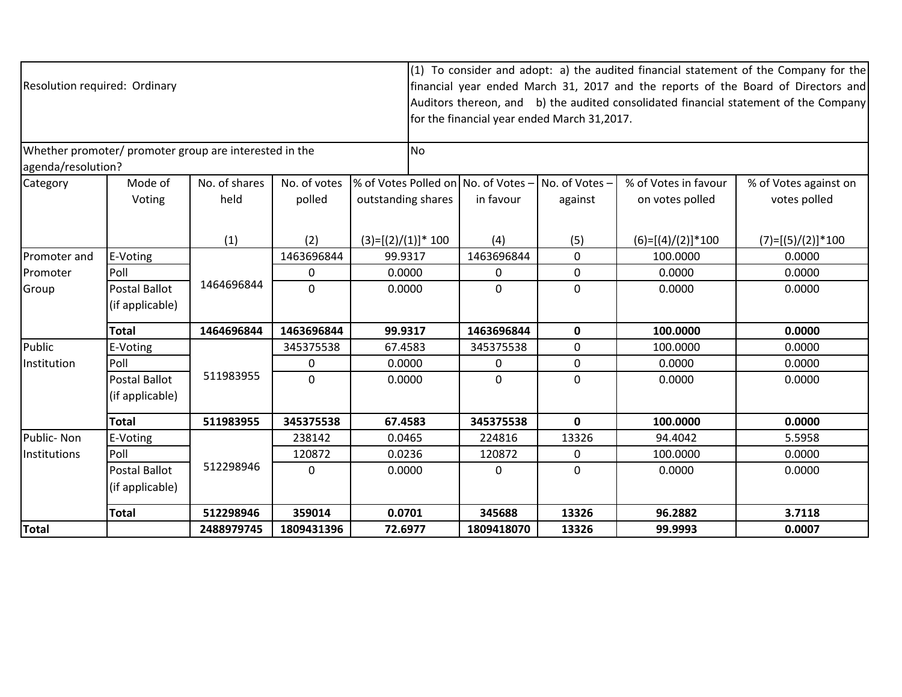| Resolution required: Ordinary                                                |                                         | <b>No</b>             | (1) To consider and adopt: a) the audited financial statement of the Company for the<br>financial year ended March 31, 2017 and the reports of the Board of Directors and<br>Auditors thereon, and b) the audited consolidated financial statement of the Company<br>for the financial year ended March 31,2017. |                                                           |                |  |                           |                                         |                                       |
|------------------------------------------------------------------------------|-----------------------------------------|-----------------------|------------------------------------------------------------------------------------------------------------------------------------------------------------------------------------------------------------------------------------------------------------------------------------------------------------------|-----------------------------------------------------------|----------------|--|---------------------------|-----------------------------------------|---------------------------------------|
| Whether promoter/ promoter group are interested in the<br>agenda/resolution? |                                         |                       |                                                                                                                                                                                                                                                                                                                  |                                                           |                |  |                           |                                         |                                       |
| Category                                                                     | Mode of<br>Voting                       | No. of shares<br>held | No. of votes<br>polled                                                                                                                                                                                                                                                                                           | % of Votes Polled on No. of Votes -<br>outstanding shares | in favour      |  | No. of Votes -<br>against | % of Votes in favour<br>on votes polled | % of Votes against on<br>votes polled |
|                                                                              |                                         | (1)                   | (2)                                                                                                                                                                                                                                                                                                              | $(3)=[(2)/(1)]*100$                                       | (4)            |  | (5)                       | $(6)=[(4)/(2)]*100$                     | $(7)=[(5)/(2)]*100$                   |
| Promoter and                                                                 | E-Voting                                |                       | 1463696844                                                                                                                                                                                                                                                                                                       | 99.9317                                                   | 1463696844     |  | $\Omega$                  | 100.0000                                | 0.0000                                |
| Promoter                                                                     | Poll                                    |                       | 0                                                                                                                                                                                                                                                                                                                | 0.0000                                                    | $\Omega$       |  | $\mathbf{0}$              | 0.0000                                  | 0.0000                                |
| Group                                                                        | <b>Postal Ballot</b><br>(if applicable) | 1464696844            | $\mathbf 0$                                                                                                                                                                                                                                                                                                      | 0.0000                                                    | $\overline{0}$ |  | $\mathbf{0}$              | 0.0000                                  | 0.0000                                |
|                                                                              | <b>Total</b>                            | 1464696844            | 1463696844                                                                                                                                                                                                                                                                                                       | 99.9317                                                   | 1463696844     |  | $\mathbf 0$               | 100.0000                                | 0.0000                                |
| Public                                                                       | E-Voting                                |                       | 345375538                                                                                                                                                                                                                                                                                                        | 67.4583                                                   | 345375538      |  | $\mathbf 0$               | 100.0000                                | 0.0000                                |
| Institution                                                                  | Poll                                    |                       | 0                                                                                                                                                                                                                                                                                                                | 0.0000                                                    | 0              |  | $\mathbf{0}$              | 0.0000                                  | 0.0000                                |
|                                                                              | Postal Ballot<br>(if applicable)        | 511983955             | $\mathbf 0$                                                                                                                                                                                                                                                                                                      | 0.0000                                                    | $\overline{0}$ |  | $\mathbf{0}$              | 0.0000                                  | 0.0000                                |
|                                                                              | <b>Total</b>                            | 511983955             | 345375538                                                                                                                                                                                                                                                                                                        | 67.4583                                                   | 345375538      |  | $\mathbf{0}$              | 100.0000                                | 0.0000                                |
| Public-Non                                                                   | E-Voting                                |                       | 238142                                                                                                                                                                                                                                                                                                           | 0.0465                                                    | 224816         |  | 13326                     | 94.4042                                 | 5.5958                                |
| Institutions                                                                 | Poll                                    |                       | 120872                                                                                                                                                                                                                                                                                                           | 0.0236                                                    | 120872         |  | $\Omega$                  | 100.0000                                | 0.0000                                |
|                                                                              | Postal Ballot<br>(if applicable)        | 512298946             | $\Omega$                                                                                                                                                                                                                                                                                                         | 0.0000                                                    | 0              |  | $\Omega$                  | 0.0000                                  | 0.0000                                |
|                                                                              | <b>Total</b>                            | 512298946             | 359014                                                                                                                                                                                                                                                                                                           | 0.0701                                                    | 345688         |  | 13326                     | 96.2882                                 | 3.7118                                |
| <b>Total</b>                                                                 |                                         | 2488979745            | 1809431396                                                                                                                                                                                                                                                                                                       | 72.6977                                                   | 1809418070     |  | 13326                     | 99.9993                                 | 0.0007                                |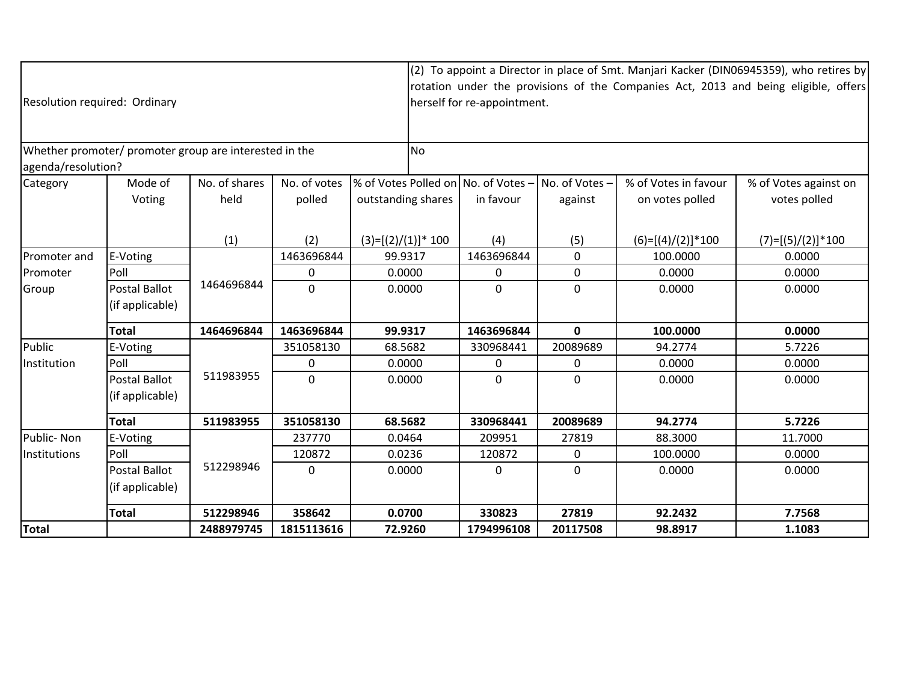| Resolution required: Ordinary                          |                      |               |                |                                     | (2) To appoint a Director in place of Smt. Manjari Kacker (DIN06945359), who retires by<br>rotation under the provisions of the Companies Act, 2013 and being eligible, offers<br>herself for re-appointment. |               |                      |                       |  |  |
|--------------------------------------------------------|----------------------|---------------|----------------|-------------------------------------|---------------------------------------------------------------------------------------------------------------------------------------------------------------------------------------------------------------|---------------|----------------------|-----------------------|--|--|
| Whether promoter/ promoter group are interested in the |                      |               |                | <b>No</b>                           |                                                                                                                                                                                                               |               |                      |                       |  |  |
| agenda/resolution?                                     |                      |               |                |                                     |                                                                                                                                                                                                               |               |                      |                       |  |  |
| Category                                               | Mode of              | No. of shares | No. of votes   | % of Votes Polled on No. of Votes - |                                                                                                                                                                                                               | No. of Votes- | % of Votes in favour | % of Votes against on |  |  |
|                                                        | Voting               | held          | polled         | outstanding shares                  | in favour                                                                                                                                                                                                     | against       | on votes polled      | votes polled          |  |  |
|                                                        |                      |               |                |                                     |                                                                                                                                                                                                               |               |                      |                       |  |  |
|                                                        |                      | (1)           | (2)            | $(3)=[(2)/(1)]*100$                 | (4)                                                                                                                                                                                                           | (5)           | $(6)=[(4)/(2)]*100$  | $(7)=[(5)/(2)]*100$   |  |  |
| Promoter and                                           | E-Voting             |               | 1463696844     | 99.9317                             | 1463696844                                                                                                                                                                                                    | 0             | 100.0000             | 0.0000                |  |  |
| Promoter                                               | Poll                 |               | 0              | 0.0000                              | $\Omega$                                                                                                                                                                                                      | 0             | 0.0000               | 0.0000                |  |  |
| Group                                                  | <b>Postal Ballot</b> | 1464696844    | $\mathbf 0$    | 0.0000                              | $\mathbf{0}$                                                                                                                                                                                                  | 0             | 0.0000               | 0.0000                |  |  |
|                                                        | (if applicable)      |               |                |                                     |                                                                                                                                                                                                               |               |                      |                       |  |  |
|                                                        | <b>Total</b>         | 1464696844    | 1463696844     | 99.9317                             | 1463696844                                                                                                                                                                                                    | 0             | 100.0000             | 0.0000                |  |  |
| Public                                                 | E-Voting             |               | 351058130      | 68.5682                             | 330968441                                                                                                                                                                                                     | 20089689      | 94.2774              | 5.7226                |  |  |
| Institution                                            | Poll                 |               | 0              | 0.0000                              | 0                                                                                                                                                                                                             | 0             | 0.0000               | 0.0000                |  |  |
|                                                        | <b>Postal Ballot</b> | 511983955     | $\overline{0}$ | 0.0000                              | $\Omega$                                                                                                                                                                                                      | 0             | 0.0000               | 0.0000                |  |  |
|                                                        | (if applicable)      |               |                |                                     |                                                                                                                                                                                                               |               |                      |                       |  |  |
|                                                        | <b>Total</b>         | 511983955     | 351058130      | 68.5682                             | 330968441                                                                                                                                                                                                     | 20089689      | 94.2774              | 5.7226                |  |  |
| Public-Non                                             | E-Voting             |               | 237770         | 0.0464                              | 209951                                                                                                                                                                                                        | 27819         | 88.3000              | 11.7000               |  |  |
| Institutions                                           | Poll                 |               | 120872         | 0.0236                              | 120872                                                                                                                                                                                                        | $\Omega$      | 100.0000             | 0.0000                |  |  |
|                                                        | Postal Ballot        | 512298946     | $\Omega$       | 0.0000                              | 0                                                                                                                                                                                                             | $\Omega$      | 0.0000               | 0.0000                |  |  |
|                                                        | (if applicable)      |               |                |                                     |                                                                                                                                                                                                               |               |                      |                       |  |  |
|                                                        | <b>Total</b>         | 512298946     | 358642         | 0.0700                              | 330823                                                                                                                                                                                                        | 27819         | 92.2432              | 7.7568                |  |  |
| Total                                                  |                      | 2488979745    | 1815113616     | 72.9260                             | 1794996108                                                                                                                                                                                                    | 20117508      | 98.8917              | 1.1083                |  |  |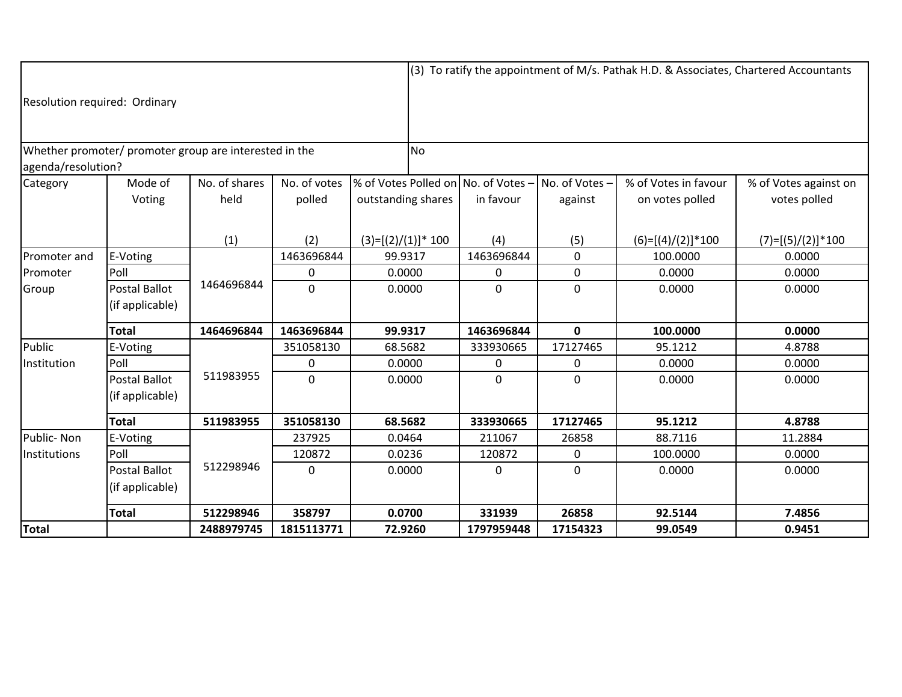|                                                                              |                      |               |              |                       | (3) To ratify the appointment of M/s. Pathak H.D. & Associates, Chartered Accountants |                                     |               |                      |                       |  |
|------------------------------------------------------------------------------|----------------------|---------------|--------------|-----------------------|---------------------------------------------------------------------------------------|-------------------------------------|---------------|----------------------|-----------------------|--|
| Resolution required: Ordinary                                                |                      |               |              |                       |                                                                                       |                                     |               |                      |                       |  |
| Whether promoter/ promoter group are interested in the<br>agenda/resolution? |                      |               |              |                       | <b>No</b>                                                                             |                                     |               |                      |                       |  |
| Category                                                                     | Mode of              | No. of shares | No. of votes |                       |                                                                                       | % of Votes Polled on No. of Votes - | No. of Votes- | % of Votes in favour | % of Votes against on |  |
|                                                                              | Voting               | held          | polled       | outstanding shares    |                                                                                       | in favour                           | against       | on votes polled      | votes polled          |  |
|                                                                              |                      |               |              |                       |                                                                                       |                                     |               |                      |                       |  |
|                                                                              |                      | (1)           | (2)          | $(3)=[(2)/(1)]$ * 100 |                                                                                       | (4)                                 | (5)           | $(6)=[(4)/(2)]*100$  | $(7)=[(5)/(2)]*100$   |  |
| Promoter and                                                                 | E-Voting             |               | 1463696844   | 99.9317               |                                                                                       | 1463696844                          | $\Omega$      | 100.0000             | 0.0000                |  |
| Promoter                                                                     | Poll                 |               | 0            | 0.0000                |                                                                                       | 0                                   | 0             | 0.0000               | 0.0000                |  |
| Group                                                                        | <b>Postal Ballot</b> | 1464696844    | $\mathbf{0}$ | 0.0000                |                                                                                       | $\mathbf{0}$                        | $\mathbf{0}$  | 0.0000               | 0.0000                |  |
|                                                                              | (if applicable)      |               |              |                       |                                                                                       |                                     |               |                      |                       |  |
|                                                                              | <b>Total</b>         | 1464696844    | 1463696844   | 99.9317               |                                                                                       | 1463696844                          | $\mathbf 0$   | 100.0000             | 0.0000                |  |
| Public                                                                       | E-Voting             |               | 351058130    | 68.5682               |                                                                                       | 333930665                           | 17127465      | 95.1212              | 4.8788                |  |
| Institution                                                                  | Poll                 |               | 0            | 0.0000                |                                                                                       | 0                                   | 0             | 0.0000               | 0.0000                |  |
|                                                                              | Postal Ballot        | 511983955     | $\mathbf{0}$ | 0.0000                |                                                                                       | $\mathbf{0}$                        | 0             | 0.0000               | 0.0000                |  |
|                                                                              | (if applicable)      |               |              |                       |                                                                                       |                                     |               |                      |                       |  |
|                                                                              | <b>Total</b>         | 511983955     | 351058130    | 68.5682               |                                                                                       | 333930665                           | 17127465      | 95.1212              | 4.8788                |  |
| Public-Non                                                                   | E-Voting             |               | 237925       | 0.0464                |                                                                                       | 211067                              | 26858         | 88.7116              | 11.2884               |  |
| Institutions                                                                 | Poll                 |               | 120872       | 0.0236                |                                                                                       | 120872                              | $\mathbf 0$   | 100.0000             | 0.0000                |  |
|                                                                              | Postal Ballot        | 512298946     | $\Omega$     | 0.0000                |                                                                                       | 0                                   | $\Omega$      | 0.0000               | 0.0000                |  |
|                                                                              | (if applicable)      |               |              |                       |                                                                                       |                                     |               |                      |                       |  |
|                                                                              | <b>Total</b>         | 512298946     | 358797       | 0.0700                |                                                                                       | 331939                              | 26858         | 92.5144              | 7.4856                |  |
| Total                                                                        |                      | 2488979745    | 1815113771   | 72.9260               |                                                                                       | 1797959448                          | 17154323      | 99.0549              | 0.9451                |  |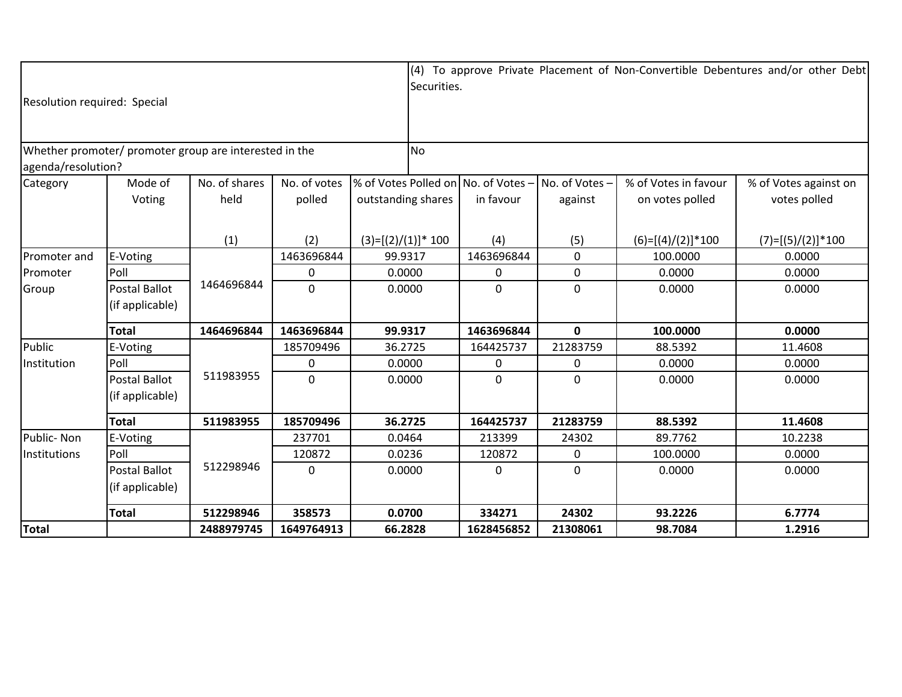| Resolution required: Special                                                 |                                         |                       |                        |                                                           |                | Securities.  |                           |                                         | (4) To approve Private Placement of Non-Convertible Debentures and/or other Debt |
|------------------------------------------------------------------------------|-----------------------------------------|-----------------------|------------------------|-----------------------------------------------------------|----------------|--------------|---------------------------|-----------------------------------------|----------------------------------------------------------------------------------|
| Whether promoter/ promoter group are interested in the<br>agenda/resolution? |                                         |                       |                        |                                                           | N <sub>o</sub> |              |                           |                                         |                                                                                  |
| Category                                                                     | Mode of<br>Voting                       | No. of shares<br>held | No. of votes<br>polled | % of Votes Polled on No. of Votes -<br>outstanding shares |                | in favour    | No. of Votes -<br>against | % of Votes in favour<br>on votes polled | % of Votes against on<br>votes polled                                            |
|                                                                              |                                         | (1)                   | (2)                    | $(3)=[(2)/(1)]$ * 100                                     |                | (4)          | (5)                       | $(6)=[(4)/(2)]*100$                     | $(7)=[(5)/(2)]*100$                                                              |
| Promoter and                                                                 | E-Voting                                |                       | 1463696844             | 99.9317                                                   |                | 1463696844   | $\mathbf 0$               | 100.0000                                | 0.0000                                                                           |
| Promoter                                                                     | Poll                                    |                       | 0                      | 0.0000                                                    |                | 0            | 0                         | 0.0000                                  | 0.0000                                                                           |
| Group                                                                        | Postal Ballot<br>(if applicable)        | 1464696844            | $\overline{0}$         | 0.0000                                                    |                | $\mathbf{0}$ | $\mathbf{0}$              | 0.0000                                  | 0.0000                                                                           |
|                                                                              | <b>Total</b>                            | 1464696844            | 1463696844             | 99.9317                                                   |                | 1463696844   | $\mathbf 0$               | 100.0000                                | 0.0000                                                                           |
| Public                                                                       | E-Voting                                |                       | 185709496              | 36.2725                                                   |                | 164425737    | 21283759                  | 88.5392                                 | 11.4608                                                                          |
| Institution                                                                  | Poll                                    |                       | 0                      | 0.0000                                                    |                | 0            | 0                         | 0.0000                                  | 0.0000                                                                           |
|                                                                              | <b>Postal Ballot</b><br>(if applicable) | 511983955             | $\mathbf{0}$           | 0.0000                                                    |                | $\Omega$     | 0                         | 0.0000                                  | 0.0000                                                                           |
|                                                                              | <b>Total</b>                            | 511983955             | 185709496              | 36.2725                                                   |                | 164425737    | 21283759                  | 88.5392                                 | 11.4608                                                                          |
| Public-Non                                                                   | E-Voting                                |                       | 237701                 | 0.0464                                                    |                | 213399       | 24302                     | 89.7762                                 | 10.2238                                                                          |
| Institutions                                                                 | Poll                                    |                       | 120872                 | 0.0236                                                    |                | 120872       | $\mathbf 0$               | 100.0000                                | 0.0000                                                                           |
|                                                                              | <b>Postal Ballot</b><br>(if applicable) | 512298946<br>$\Omega$ |                        | 0.0000                                                    |                | $\Omega$     | $\mathbf 0$               | 0.0000                                  | 0.0000                                                                           |
|                                                                              | <b>Total</b>                            | 512298946             | 358573                 | 0.0700                                                    |                | 334271       | 24302                     | 93.2226                                 | 6.7774                                                                           |
| Total                                                                        |                                         | 2488979745            | 1649764913             | 66.2828                                                   |                | 1628456852   | 21308061                  | 98.7084                                 | 1.2916                                                                           |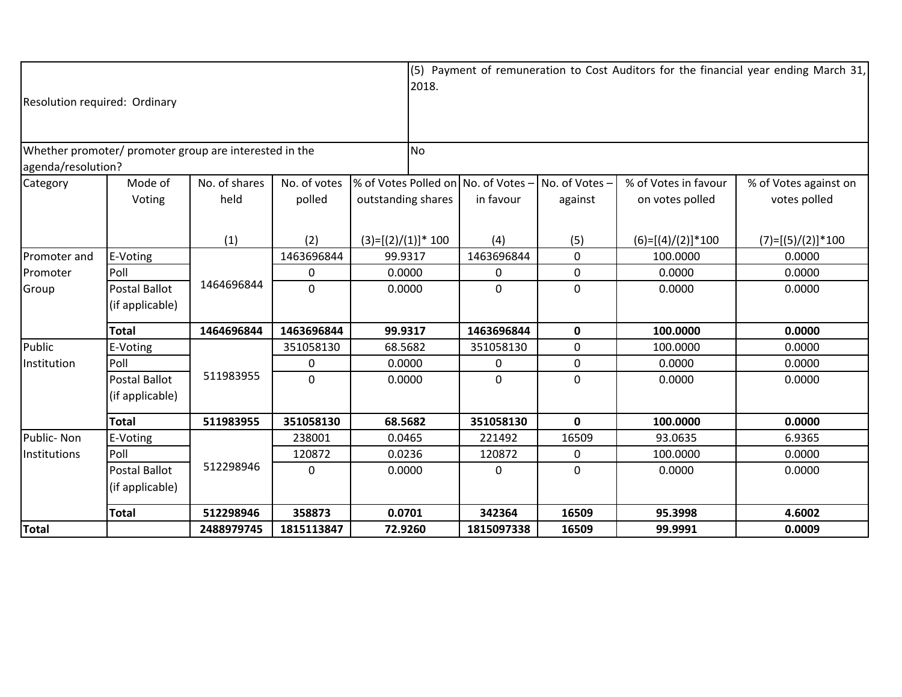| Resolution required: Ordinary                                                |                                         |                           |                        |                                                           |  |              |                           |                                         | (5) Payment of remuneration to Cost Auditors for the financial year ending March 31, |
|------------------------------------------------------------------------------|-----------------------------------------|---------------------------|------------------------|-----------------------------------------------------------|--|--------------|---------------------------|-----------------------------------------|--------------------------------------------------------------------------------------|
| Whether promoter/ promoter group are interested in the<br>agenda/resolution? |                                         |                           |                        | N <sub>o</sub>                                            |  |              |                           |                                         |                                                                                      |
| Category                                                                     | Mode of<br>Voting                       | No. of shares<br>held     | No. of votes<br>polled | % of Votes Polled on No. of Votes -<br>outstanding shares |  | in favour    | No. of Votes -<br>against | % of Votes in favour<br>on votes polled | % of Votes against on<br>votes polled                                                |
|                                                                              |                                         | (1)                       | (2)                    | $(3)=[(2)/(1)]*100$                                       |  | (4)          | (5)                       | $(6)=[(4)/(2)]*100$                     | $(7)=[(5)/(2)]*100$                                                                  |
| Promoter and                                                                 | E-Voting                                |                           | 1463696844             | 99.9317                                                   |  | 1463696844   | $\mathbf 0$               | 100.0000                                | 0.0000                                                                               |
| Promoter                                                                     | Poll                                    |                           | 0                      | 0.0000                                                    |  | 0            | 0                         | 0.0000                                  | 0.0000                                                                               |
| Group                                                                        | Postal Ballot<br>(if applicable)        | 1464696844                | $\overline{0}$         | 0.0000                                                    |  | $\mathbf{0}$ | $\mathbf{0}$              | 0.0000                                  | 0.0000                                                                               |
|                                                                              | <b>Total</b>                            | 1464696844                | 1463696844             | 99.9317                                                   |  | 1463696844   | $\mathbf{0}$              | 100.0000                                | 0.0000                                                                               |
| Public                                                                       | E-Voting                                |                           | 351058130              | 68.5682                                                   |  | 351058130    | $\mathbf 0$               | 100.0000                                | 0.0000                                                                               |
| Institution                                                                  | Poll                                    |                           | 0                      | 0.0000                                                    |  | 0            | $\mathbf 0$               | 0.0000                                  | 0.0000                                                                               |
|                                                                              | <b>Postal Ballot</b><br>(if applicable) | 511983955<br>$\mathbf{0}$ |                        | 0.0000                                                    |  | $\mathbf{0}$ | 0                         | 0.0000                                  | 0.0000                                                                               |
|                                                                              | <b>Total</b>                            | 511983955                 | 351058130              | 68.5682                                                   |  | 351058130    | $\mathbf{0}$              | 100.0000                                | 0.0000                                                                               |
| Public-Non                                                                   | E-Voting                                |                           | 238001                 | 0.0465                                                    |  | 221492       | 16509                     | 93.0635                                 | 6.9365                                                                               |
| Institutions                                                                 | Poll                                    |                           | 120872                 | 0.0236                                                    |  | 120872       | $\mathbf 0$               | 100.0000                                | 0.0000                                                                               |
|                                                                              | <b>Postal Ballot</b><br>(if applicable) | 512298946<br>$\Omega$     |                        | 0.0000                                                    |  | $\Omega$     | 0                         | 0.0000                                  | 0.0000                                                                               |
|                                                                              | <b>Total</b>                            | 512298946                 | 358873                 | 0.0701                                                    |  | 342364       | 16509                     | 95.3998                                 | 4.6002                                                                               |
| Total                                                                        |                                         | 2488979745                | 1815113847             | 72.9260                                                   |  | 1815097338   | 16509                     | 99.9991                                 | 0.0009                                                                               |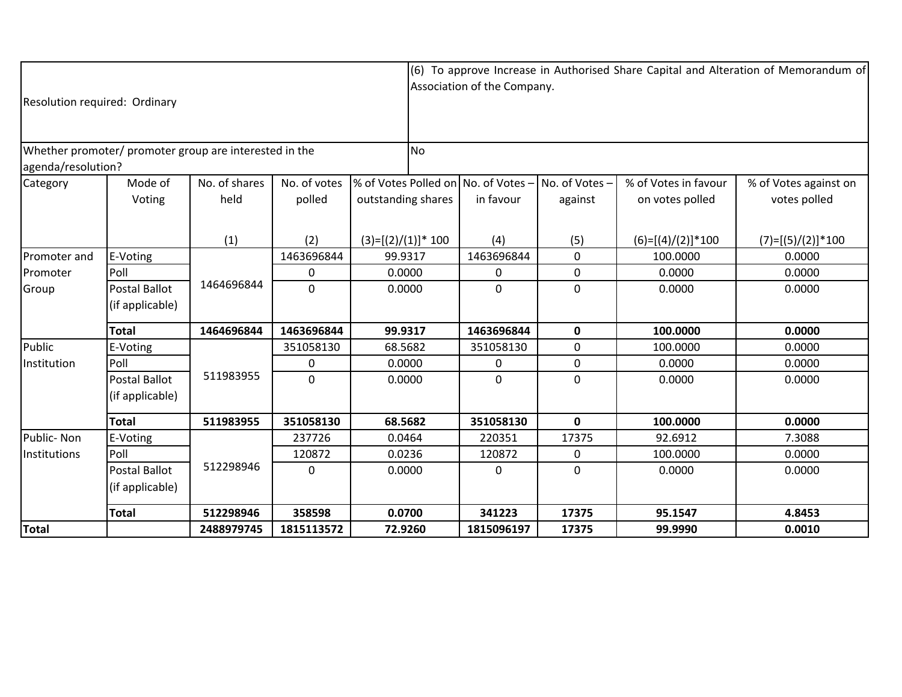| Resolution required: Ordinary                          |                      |               |                |                       |           | (6) To approve Increase in Authorised Share Capital and Alteration of Memorandum of<br>Association of the Company. |               |                      |                       |  |  |
|--------------------------------------------------------|----------------------|---------------|----------------|-----------------------|-----------|--------------------------------------------------------------------------------------------------------------------|---------------|----------------------|-----------------------|--|--|
| Whether promoter/ promoter group are interested in the |                      |               |                |                       | <b>No</b> |                                                                                                                    |               |                      |                       |  |  |
| agenda/resolution?                                     |                      |               |                |                       |           |                                                                                                                    |               |                      |                       |  |  |
| Category                                               | Mode of              | No. of shares | No. of votes   |                       |           | % of Votes Polled on No. of Votes -                                                                                | No. of Votes- | % of Votes in favour | % of Votes against on |  |  |
|                                                        | Voting               | held          | polled         | outstanding shares    |           | in favour                                                                                                          | against       | on votes polled      | votes polled          |  |  |
|                                                        |                      | (1)           | (2)            | $(3)=[(2)/(1)]^* 100$ |           | (4)                                                                                                                | (5)           | $(6)=[(4)/(2)]*100$  | $(7)=[(5)/(2)]*100$   |  |  |
| Promoter and                                           | E-Voting             |               | 1463696844     | 99.9317               |           | 1463696844                                                                                                         | 0             | 100.0000             | 0.0000                |  |  |
| Promoter                                               | Poll                 |               | 0              | 0.0000                |           | 0                                                                                                                  | 0             | 0.0000               | 0.0000                |  |  |
| Group                                                  | <b>Postal Ballot</b> | 1464696844    | $\overline{0}$ | 0.0000                |           | $\mathbf{0}$                                                                                                       | 0             | 0.0000               | 0.0000                |  |  |
|                                                        | (if applicable)      |               |                |                       |           |                                                                                                                    |               |                      |                       |  |  |
|                                                        | <b>Total</b>         | 1464696844    | 1463696844     | 99.9317               |           | 1463696844                                                                                                         | 0             | 100.0000             | 0.0000                |  |  |
| Public                                                 | E-Voting             |               | 351058130      | 68.5682               |           | 351058130                                                                                                          | 0             | 100.0000             | 0.0000                |  |  |
| Institution                                            | Poll                 |               | 0              | 0.0000                |           | 0                                                                                                                  | 0             | 0.0000               | 0.0000                |  |  |
|                                                        | <b>Postal Ballot</b> | 511983955     | $\Omega$       | 0.0000                |           | $\overline{0}$                                                                                                     | 0             | 0.0000               | 0.0000                |  |  |
|                                                        | (if applicable)      |               |                |                       |           |                                                                                                                    |               |                      |                       |  |  |
|                                                        | <b>Total</b>         | 511983955     | 351058130      | 68.5682               |           | 351058130                                                                                                          | $\mathbf 0$   | 100.0000             | 0.0000                |  |  |
| Public-Non                                             | E-Voting             |               | 237726         | 0.0464                |           | 220351                                                                                                             | 17375         | 92.6912              | 7.3088                |  |  |
| Institutions                                           | Poll                 |               | 120872         | 0.0236                |           | 120872                                                                                                             | 0             | 100.0000             | 0.0000                |  |  |
|                                                        | Postal Ballot        | 512298946     | $\Omega$       | 0.0000                |           | 0                                                                                                                  | $\Omega$      | 0.0000               | 0.0000                |  |  |
|                                                        | (if applicable)      |               |                |                       |           |                                                                                                                    |               |                      |                       |  |  |
|                                                        | <b>Total</b>         | 512298946     | 358598         | 0.0700                |           | 341223                                                                                                             | 17375         | 95.1547              | 4.8453                |  |  |
| Total                                                  |                      | 2488979745    | 1815113572     | 72.9260               |           | 1815096197                                                                                                         | 17375         | 99.9990              | 0.0010                |  |  |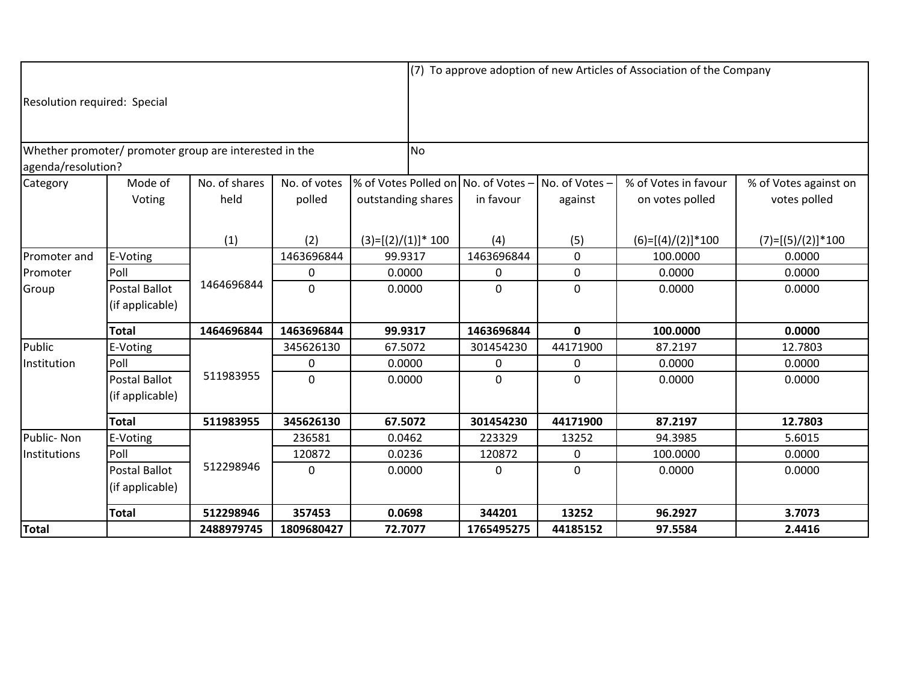|                              |                                         |                                                        |                |                                     | (7) To approve adoption of new Articles of Association of the Company |                |                      |                       |  |  |
|------------------------------|-----------------------------------------|--------------------------------------------------------|----------------|-------------------------------------|-----------------------------------------------------------------------|----------------|----------------------|-----------------------|--|--|
| Resolution required: Special |                                         |                                                        |                |                                     |                                                                       |                |                      |                       |  |  |
| agenda/resolution?           |                                         | Whether promoter/ promoter group are interested in the |                | <b>No</b>                           |                                                                       |                |                      |                       |  |  |
| Category                     | Mode of                                 | No. of shares                                          | No. of votes   | % of Votes Polled on No. of Votes - |                                                                       | No. of Votes - | % of Votes in favour | % of Votes against on |  |  |
|                              | Voting                                  | held                                                   | polled         | outstanding shares                  | in favour                                                             | against        | on votes polled      | votes polled          |  |  |
|                              |                                         | (1)                                                    | (2)            | $(3)=[(2)/(1)]^* 100$               | (4)                                                                   | (5)            | $(6)=[(4)/(2)]*100$  | $(7)=[(5)/(2)]*100$   |  |  |
| Promoter and                 | E-Voting                                |                                                        | 1463696844     | 99.9317                             | 1463696844                                                            | 0              | 100.0000             | 0.0000                |  |  |
| Promoter                     | Poll                                    |                                                        | 0              | 0.0000                              | 0                                                                     | 0              | 0.0000               | 0.0000                |  |  |
| Group                        | <b>Postal Ballot</b><br>(if applicable) | 1464696844                                             | $\overline{0}$ | 0.0000                              | 0                                                                     | $\mathbf{0}$   | 0.0000               | 0.0000                |  |  |
|                              | <b>Total</b>                            | 1464696844                                             | 1463696844     | 99.9317                             | 1463696844                                                            | $\mathbf{0}$   | 100.0000             | 0.0000                |  |  |
| Public                       | E-Voting                                |                                                        | 345626130      | 67.5072                             | 301454230                                                             | 44171900       | 87.2197              | 12.7803               |  |  |
| Institution                  | Poll                                    |                                                        | 0              | 0.0000                              | 0                                                                     | 0              | 0.0000               | 0.0000                |  |  |
|                              | <b>Postal Ballot</b><br>(if applicable) | 511983955                                              | $\overline{0}$ | 0.0000                              | 0                                                                     | $\mathbf{0}$   | 0.0000               | 0.0000                |  |  |
|                              | <b>Total</b>                            | 511983955                                              | 345626130      | 67.5072                             | 301454230                                                             | 44171900       | 87.2197              | 12.7803               |  |  |
| Public-Non                   | E-Voting                                |                                                        | 236581         | 0.0462                              | 223329                                                                | 13252          | 94.3985              | 5.6015                |  |  |
| Institutions                 | Poll                                    |                                                        | 120872         | 0.0236                              | 120872                                                                | 0              | 100.0000             | 0.0000                |  |  |
|                              | <b>Postal Ballot</b>                    | 512298946<br>$\Omega$                                  |                | 0.0000                              | 0                                                                     | $\Omega$       | 0.0000               | 0.0000                |  |  |
|                              | (if applicable)                         |                                                        |                |                                     |                                                                       |                |                      |                       |  |  |
|                              | <b>Total</b>                            | 512298946                                              | 357453         | 0.0698                              | 344201                                                                | 13252          | 96.2927              | 3.7073                |  |  |
| <b>Total</b>                 |                                         | 2488979745                                             | 1809680427     | 72.7077                             | 1765495275                                                            | 44185152       | 97.5584              | 2.4416                |  |  |